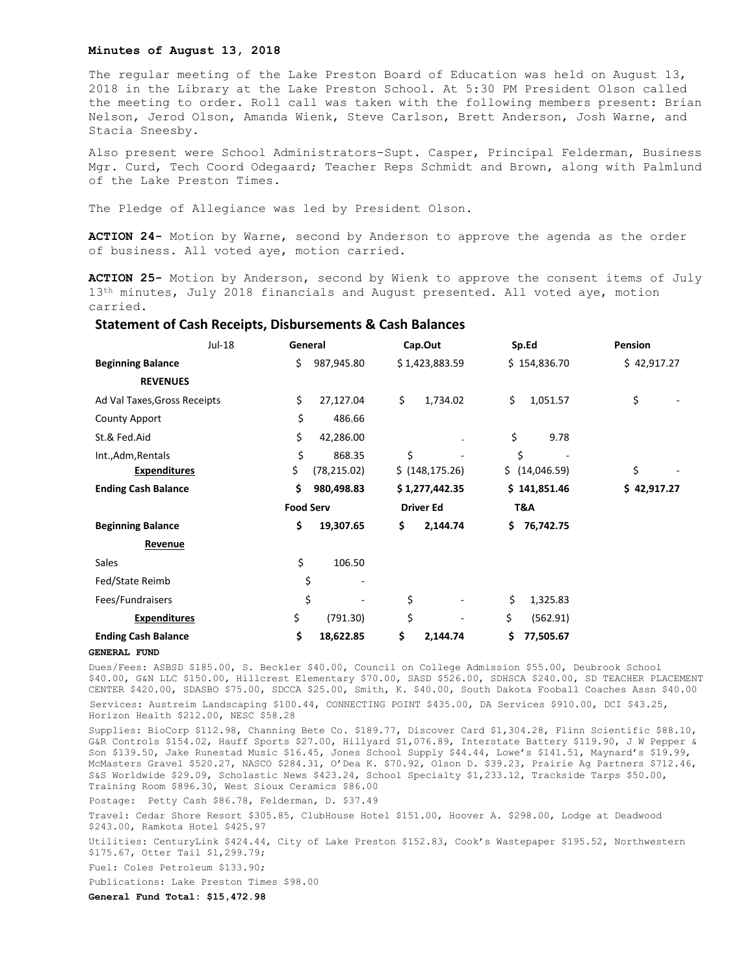# **Minutes of August 13, 2018**

The regular meeting of the Lake Preston Board of Education was held on August 13, 2018 in the Library at the Lake Preston School. At 5:30 PM President Olson called the meeting to order. Roll call was taken with the following members present: Brian Nelson, Jerod Olson, Amanda Wienk, Steve Carlson, Brett Anderson, Josh Warne, and Stacia Sneesby.

Also present were School Administrators-Supt. Casper, Principal Felderman, Business Mgr. Curd, Tech Coord Odegaard; Teacher Reps Schmidt and Brown, along with Palmlund of the Lake Preston Times.

The Pledge of Allegiance was led by President Olson.

**ACTION 24-** Motion by Warne, second by Anderson to approve the agenda as the order of business. All voted aye, motion carried.

**ACTION 25-** Motion by Anderson, second by Wienk to approve the consent items of July 13<sup>th</sup> minutes, July 2018 financials and August presented. All voted aye, motion carried.

# **Statement of Cash Receipts, Disbursements & Cash Balances**

| Jul-18                       |  | General          |              | Cap.Out          |                  | Sp.Ed |                | <b>Pension</b> |
|------------------------------|--|------------------|--------------|------------------|------------------|-------|----------------|----------------|
| <b>Beginning Balance</b>     |  | \$               | 987,945.80   |                  | \$1,423,883.59   |       | \$154,836.70   | \$42,917.27    |
| <b>REVENUES</b>              |  |                  |              |                  |                  |       |                |                |
| Ad Val Taxes, Gross Receipts |  | \$               | 27,127.04    | \$               | 1,734.02         | \$    | 1,051.57       | \$             |
| <b>County Apport</b>         |  | \$               | 486.66       |                  |                  |       |                |                |
| St.& Fed.Aid                 |  | \$               | 42,286.00    |                  |                  | \$    | 9.78           |                |
| Int., Adm, Rentals           |  | \$               | 868.35       | \$               |                  | \$    |                |                |
| <b>Expenditures</b>          |  | \$               | (78, 215.02) |                  | \$ (148, 175.26) |       | \$ (14,046.59) | \$             |
| <b>Ending Cash Balance</b>   |  | \$               | 980,498.83   |                  | \$1,277,442.35   |       | \$141,851.46   | \$42,917.27    |
|                              |  | <b>Food Serv</b> |              | <b>Driver Ed</b> |                  | T&A   |                |                |
| <b>Beginning Balance</b>     |  | \$               | 19,307.65    | \$               | 2,144.74         | Ś.    | 76,742.75      |                |
| <b>Revenue</b>               |  |                  |              |                  |                  |       |                |                |
| Sales                        |  | \$               | 106.50       |                  |                  |       |                |                |
| Fed/State Reimb              |  | \$               |              |                  |                  |       |                |                |
| Fees/Fundraisers             |  | \$               |              | \$               |                  | \$    | 1,325.83       |                |
| <b>Expenditures</b>          |  | \$               | (791.30)     | \$               |                  | \$    | (562.91)       |                |
| <b>Ending Cash Balance</b>   |  | \$               | 18,622.85    | \$               | 2,144.74         | \$    | 77,505.67      |                |

### **GENERAL FUND**

Dues/Fees: ASBSD \$185.00, S. Beckler \$40.00, Council on College Admission \$55.00, Deubrook School \$40.00, G&N LLC \$150.00, Hillcrest Elementary \$70.00, SASD \$526.00, SDHSCA \$240.00, SD TEACHER PLACEMENT CENTER \$420.00, SDASBO \$75.00, SDCCA \$25.00, Smith, K. \$40.00, South Dakota Fooball Coaches Assn \$40.00 Services: Austreim Landscaping \$100.44, CONNECTING POINT \$435.00, DA Services \$910.00, DCI \$43.25, Horizon Health \$212.00, NESC \$58.28

Supplies: BioCorp \$112.98, Channing Bete Co. \$189.77, Discover Card \$1,304.28, Flinn Scientific \$88.10, G&R Controls \$154.02, Hauff Sports \$27.00, Hillyard \$1,076.89, Interstate Battery \$119.90, J W Pepper & Son \$139.50, Jake Runestad Music \$16.45, Jones School Supply \$44.44, Lowe's \$141.51, Maynard's \$19.99, McMasters Gravel \$520.27, NASCO \$284.31, O'Dea K. \$70.92, Olson D. \$39.23, Prairie Ag Partners \$712.46, S&S Worldwide \$29.09, Scholastic News \$423.24, School Specialty \$1,233.12, Trackside Tarps \$50.00, Training Room \$896.30, West Sioux Ceramics \$86.00

Postage: Petty Cash \$86.78, Felderman, D. \$37.49

Travel: Cedar Shore Resort \$305.85, ClubHouse Hotel \$151.00, Hoover A. \$298.00, Lodge at Deadwood \$243.00, Ramkota Hotel \$425.97

Utilities: CenturyLink \$424.44, City of Lake Preston \$152.83, Cook's Wastepaper \$195.52, Northwestern \$175.67, Otter Tail \$1,299.79;

Fuel: Coles Petroleum \$133.90;

Publications: Lake Preston Times \$98.00

**General Fund Total: \$15,472.98**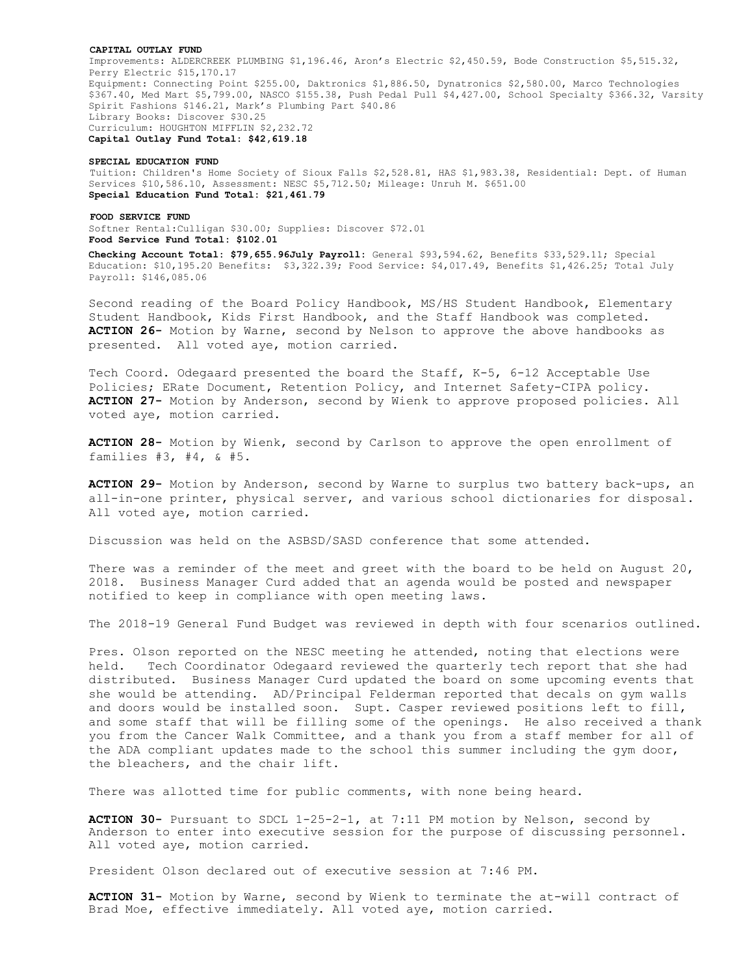#### **CAPITAL OUTLAY FUND**

Improvements: ALDERCREEK PLUMBING \$1,196.46, Aron's Electric \$2,450.59, Bode Construction \$5,515.32, Perry Electric \$15,170.17 Equipment: Connecting Point \$255.00, Daktronics \$1,886.50, Dynatronics \$2,580.00, Marco Technologies \$367.40, Med Mart \$5,799.00, NASCO \$155.38, Push Pedal Pull \$4,427.00, School Specialty \$366.32, Varsity Spirit Fashions \$146.21, Mark's Plumbing Part \$40.86 Library Books: Discover \$30.25 Curriculum: HOUGHTON MIFFLIN \$2,232.72 **Capital Outlay Fund Total: \$42,619.18**

## **SPECIAL EDUCATION FUND**

Tuition: Children's Home Society of Sioux Falls \$2,528.81, HAS \$1,983.38, Residential: Dept. of Human Services \$10,586.10, Assessment: NESC \$5,712.50; Mileage: Unruh M. \$651.00 **Special Education Fund Total: \$21,461.79**

## **FOOD SERVICE FUND**

Softner Rental:Culligan \$30.00; Supplies: Discover \$72.01 **Food Service Fund Total: \$102.01**

**Checking Account Total: \$79,655.96July Payroll:** General \$93,594.62, Benefits \$33,529.11; Special Education: \$10,195.20 Benefits: \$3,322.39; Food Service: \$4,017.49, Benefits \$1,426.25; Total July Payroll: \$146,085.06

Second reading of the Board Policy Handbook, MS/HS Student Handbook, Elementary Student Handbook, Kids First Handbook, and the Staff Handbook was completed. **ACTION 26-** Motion by Warne, second by Nelson to approve the above handbooks as presented. All voted aye, motion carried.

Tech Coord. Odegaard presented the board the Staff, K-5, 6-12 Acceptable Use Policies; ERate Document, Retention Policy, and Internet Safety-CIPA policy. **ACTION 27-** Motion by Anderson, second by Wienk to approve proposed policies. All voted aye, motion carried.

**ACTION 28-** Motion by Wienk, second by Carlson to approve the open enrollment of families  $#3, #4, \& #5.$ 

**ACTION 29-** Motion by Anderson, second by Warne to surplus two battery back-ups, an all-in-one printer, physical server, and various school dictionaries for disposal. All voted aye, motion carried.

Discussion was held on the ASBSD/SASD conference that some attended.

There was a reminder of the meet and greet with the board to be held on August 20, 2018. Business Manager Curd added that an agenda would be posted and newspaper notified to keep in compliance with open meeting laws.

The 2018-19 General Fund Budget was reviewed in depth with four scenarios outlined.

Pres. Olson reported on the NESC meeting he attended, noting that elections were held. Tech Coordinator Odegaard reviewed the quarterly tech report that she had distributed. Business Manager Curd updated the board on some upcoming events that she would be attending. AD/Principal Felderman reported that decals on gym walls and doors would be installed soon. Supt. Casper reviewed positions left to fill, and some staff that will be filling some of the openings. He also received a thank you from the Cancer Walk Committee, and a thank you from a staff member for all of the ADA compliant updates made to the school this summer including the gym door, the bleachers, and the chair lift.

There was allotted time for public comments, with none being heard.

**ACTION 30-** Pursuant to SDCL 1-25-2-1, at 7:11 PM motion by Nelson, second by Anderson to enter into executive session for the purpose of discussing personnel. All voted aye, motion carried.

President Olson declared out of executive session at 7:46 PM.

**ACTION 31-** Motion by Warne, second by Wienk to terminate the at-will contract of Brad Moe, effective immediately. All voted aye, motion carried.